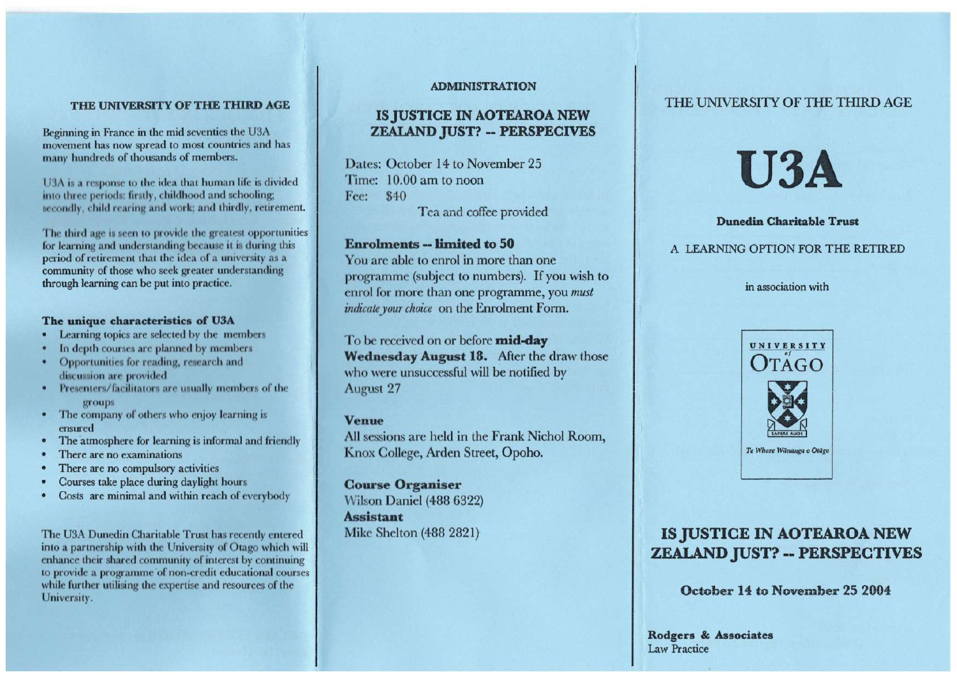#### **THE UNIVERSITY OF THE THIRD AGE**

Beginning in France in the mid seventies the U3A movement has now spread to most countries and has many hundreds of thousands of members.

13A is a response to the idea that human life is divided into three periods: firstly, childhood and schooling; secondly, child rearing and work; and thirdly, retirement.

The third age is seen to provide the greatest opportunities for learning and understanding because it is during this period of retirement that the idea of a university as a community of those who seek greater understanding through learning can be put into practice.

#### **The unique characteristics of U3A**

- Learning topics are selected by the members
- In depth courses are planned by members
- Opportunities for reading, research and discussion are provided
- Presenters/facilitators are usually members of the groups
- The company of others who enjoy learning is ensured
- The atmosphere for learning is informal and friendly
- There are no examinations
- There are no compulsory activities
- Courses take place during daylight hours
- Costs are minimal and within reach of everybody

The U3A Dunedin Charitable Trust has recently entered into a partnership with the University of Otago which will enhance their shared community of interest by continuing to provide a programme of non-credit educational courses while further utilising the expertise and resources of the University.

#### **ADMINISTRATION**

### **IS JUSTICE IN AOTEAROA NEW ZEALAND JUST? -- PERSPECIVES**

Dates: October 14 to November 25 Time: 10.00 am to noon Fee: \$40 Tea and coffee provided

### **Enrolments -- limited to 50**

You are able to enrol in more than one programme (subject to numbers). If you wish to enrol for more than one programme, you *must indicate your choice* on the Enrolment Form.

To be received on or before **mid-day Wednesday August 18.** After the draw those who were unsuccessful will be notified by August 27

#### **Venue**

All sessions are held in the Frank Nichol Room, Knox College, Arden Street, Opoho.

**Course Organiser**  Wilson Daniel (488 6322) **Assistant**  Mike Shelton (488 2821)

### THE UNIVERSITY OF THE THIRD AGE



#### **Dunedin Charitable Trust**

#### A LEARNING OPTION FOR THE RETIRED

in association with



## **IS JUSTICE IN AOTEAROA NEW ZEALAND JUST? -- PERSPECTIVES**

**October 14 to November 25 2004** 

**Rodgers & Associates**  Law Practice